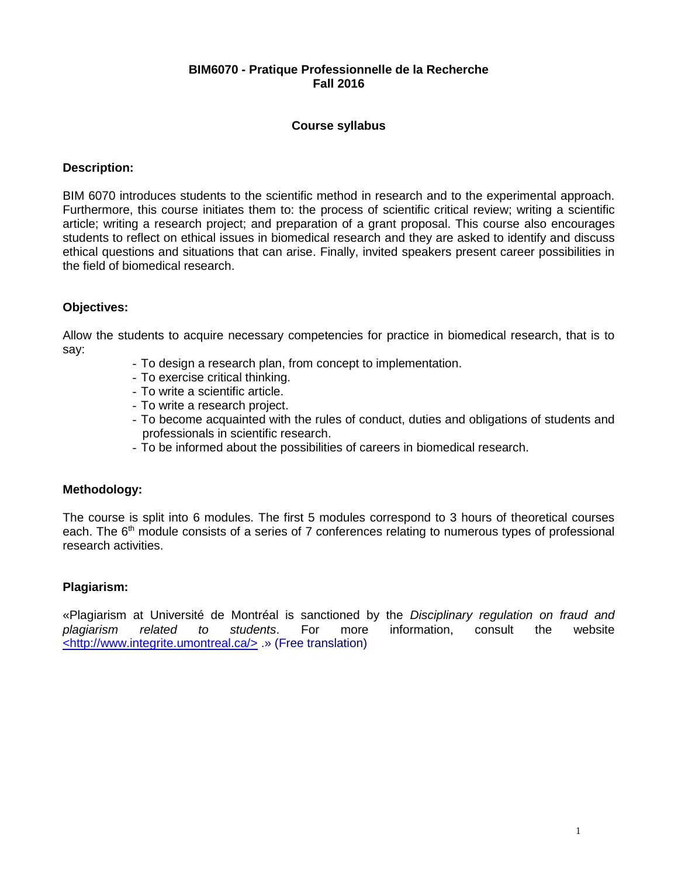## **BIM6070 - Pratique Professionnelle de la Recherche Fall 2016**

## **Course syllabus**

### **Description:**

BIM 6070 introduces students to the scientific method in research and to the experimental approach. Furthermore, this course initiates them to: the process of scientific critical review; writing a scientific article; writing a research project; and preparation of a grant proposal. This course also encourages students to reflect on ethical issues in biomedical research and they are asked to identify and discuss ethical questions and situations that can arise. Finally, invited speakers present career possibilities in the field of biomedical research.

### **Objectives:**

Allow the students to acquire necessary competencies for practice in biomedical research, that is to say:

- To design a research plan, from concept to implementation.
- To exercise critical thinking.
- To write a scientific article.
- To write a research project.
- To become acquainted with the rules of conduct, duties and obligations of students and professionals in scientific research.
- To be informed about the possibilities of careers in biomedical research.

### **Methodology:**

The course is split into 6 modules. The first 5 modules correspond to 3 hours of theoretical courses each. The 6<sup>th</sup> module consists of a series of 7 conferences relating to numerous types of professional research activities.

### **Plagiarism:**

«Plagiarism at Université de Montréal is sanctioned by the *Disciplinary regulation on fraud and plagiarism related to students*. For more information, consult the website [<http://www.integrite.umontreal.ca/>](http://www.integrite.umontreal.ca/) .» (Free translation)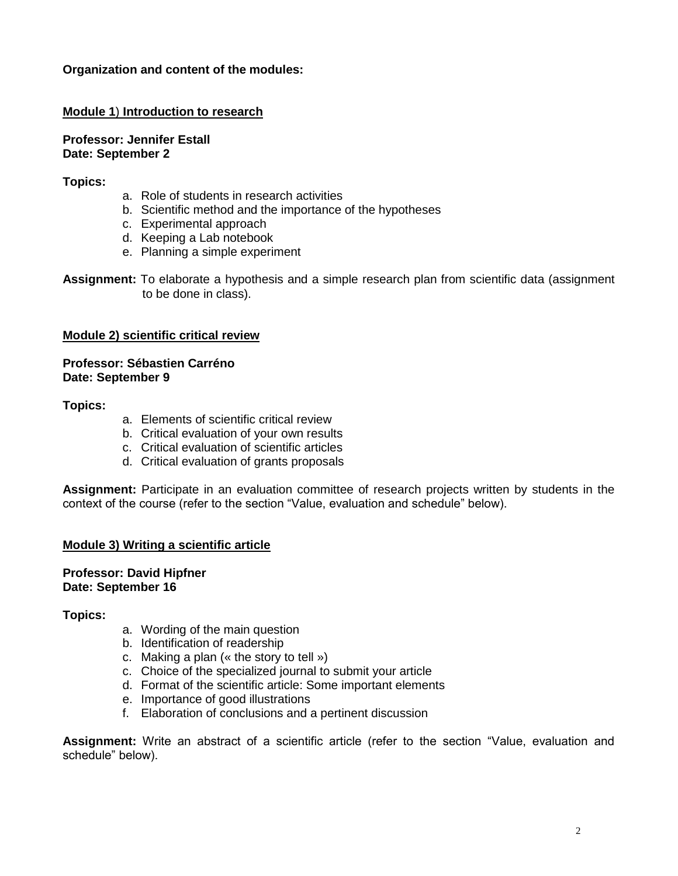## **Organization and content of the modules:**

## **Module 1**) **Introduction to research**

**Professor: [Jennifer Estall](mailto:jennifer.estall@ircm.qc.ca) Date: September 2**

### **Topics:**

- a. Role of students in research activities
- b. Scientific method and the importance of the hypotheses
- c. Experimental approach
- d. Keeping a Lab notebook
- e. Planning a simple experiment

**Assignment:** To elaborate a hypothesis and a simple research plan from scientific data (assignment to be done in class).

### **Module 2) scientific critical review**

### **Professor: Sébastien Carréno Date: September 9**

### **Topics:**

- a. Elements of scientific critical review
- b. Critical evaluation of your own results
- c. Critical evaluation of scientific articles
- d. Critical evaluation of grants proposals

**Assignment:** Participate in an evaluation committee of research projects written by students in the context of the course (refer to the section "Value, evaluation and schedule" below).

## **Module 3) Writing a scientific article**

### **Professor: David Hipfner Date: September 16**

### **Topics:**

- a. Wording of the main question
- b. Identification of readership
- c. Making a plan (« the story to tell »)
- c. Choice of the specialized journal to submit your article
- d. Format of the scientific article: Some important elements
- e. Importance of good illustrations
- f. Elaboration of conclusions and a pertinent discussion

**Assignment:** Write an abstract of a scientific article (refer to the section "Value, evaluation and schedule" below).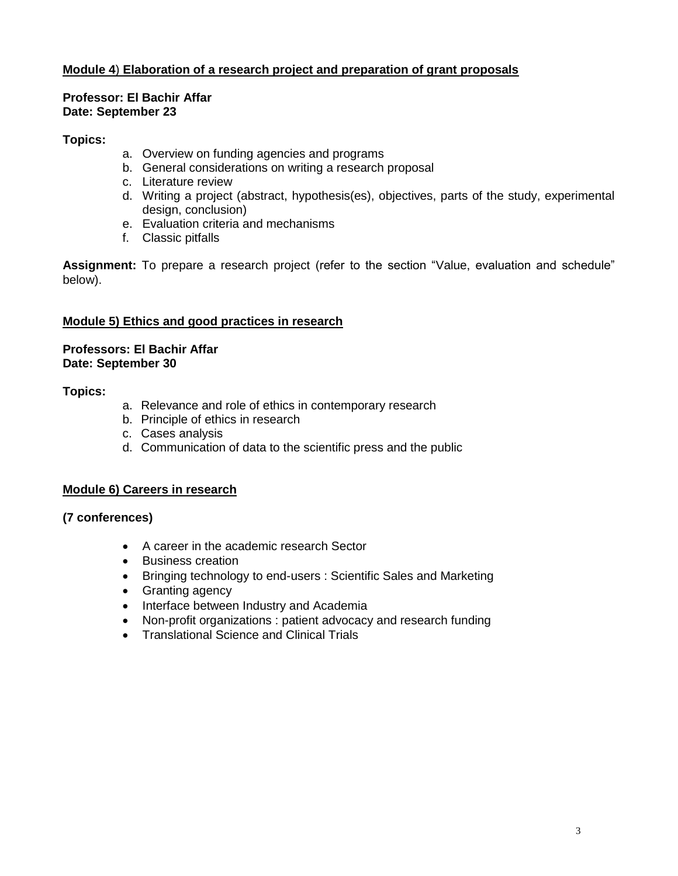# **Module 4**) **Elaboration of a research project and preparation of grant proposals**

### **Professor: El Bachir Affar Date: September 23**

## **Topics:**

- a. Overview on funding agencies and programs
- b. General considerations on writing a research proposal
- c. Literature review
- d. Writing a project (abstract, hypothesis(es), objectives, parts of the study, experimental design, conclusion)
- e. Evaluation criteria and mechanisms
- f. Classic pitfalls

**Assignment:** To prepare a research project (refer to the section "Value, evaluation and schedule" below).

### **Module 5) Ethics and good practices in research**

### **Professors: El Bachir Affar Date: September 30**

### **Topics:**

- a. Relevance and role of ethics in contemporary research
- b. Principle of ethics in research
- c. Cases analysis
- d. Communication of data to the scientific press and the public

## **Module 6) Careers in research**

## **(7 conferences)**

- A career in the academic research Sector
- Business creation
- Bringing technology to end-users : Scientific Sales and Marketing
- Granting agency
- Interface between Industry and Academia
- Non-profit organizations : patient advocacy and research funding
- Translational Science and Clinical Trials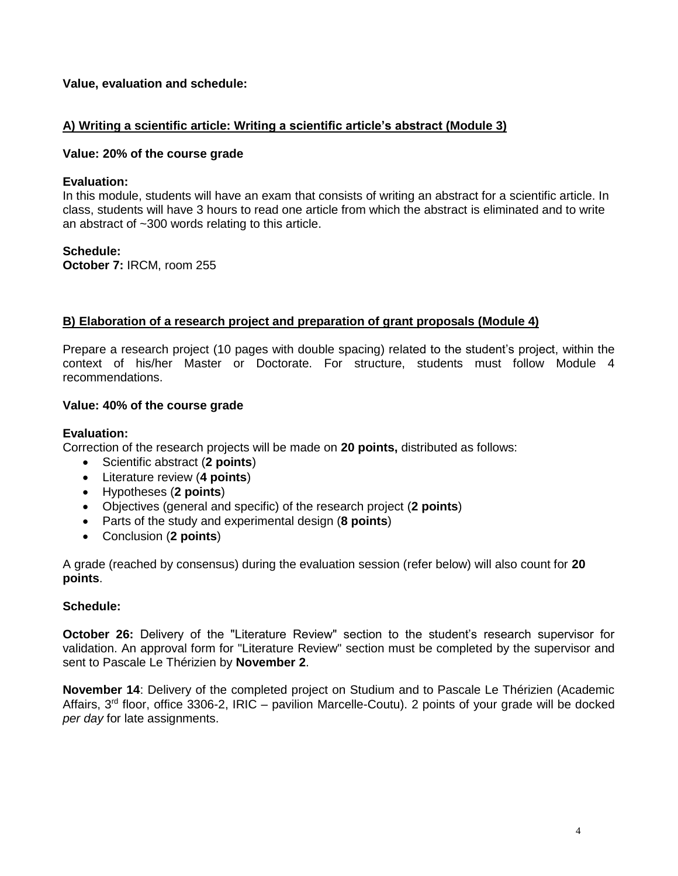## **Value, evaluation and schedule:**

## **A) Writing a scientific article: Writing a scientific article's abstract (Module 3)**

### **Value: 20% of the course grade**

#### **Evaluation:**

In this module, students will have an exam that consists of writing an abstract for a scientific article. In class, students will have 3 hours to read one article from which the abstract is eliminated and to write an abstract of ~300 words relating to this article.

#### **Schedule:**

**October 7:** IRCM, room 255

### **B) Elaboration of a research project and preparation of grant proposals (Module 4)**

Prepare a research project (10 pages with double spacing) related to the student's project, within the context of his/her Master or Doctorate. For structure, students must follow Module 4 recommendations.

#### **Value: 40% of the course grade**

#### **Evaluation:**

Correction of the research projects will be made on **20 points,** distributed as follows:

- Scientific abstract (**2 points**)
- Literature review (**4 points**)
- Hypotheses (**2 points**)
- Objectives (general and specific) of the research project (**2 points**)
- Parts of the study and experimental design (**8 points**)
- Conclusion (**2 points**)

A grade (reached by consensus) during the evaluation session (refer below) will also count for **20 points**.

### **Schedule:**

**October 26:** Delivery of the "Literature Review" section to the student's research supervisor for validation. An approval form for "Literature Review" section must be completed by the supervisor and sent to Pascale Le Thérizien by **November 2**.

**November 14**: Delivery of the completed project on Studium and to Pascale Le Thérizien (Academic Affairs, 3<sup>rd</sup> floor, office 3306-2, IRIC – pavilion Marcelle-Coutu). 2 points of your grade will be docked *per day* for late assignments.